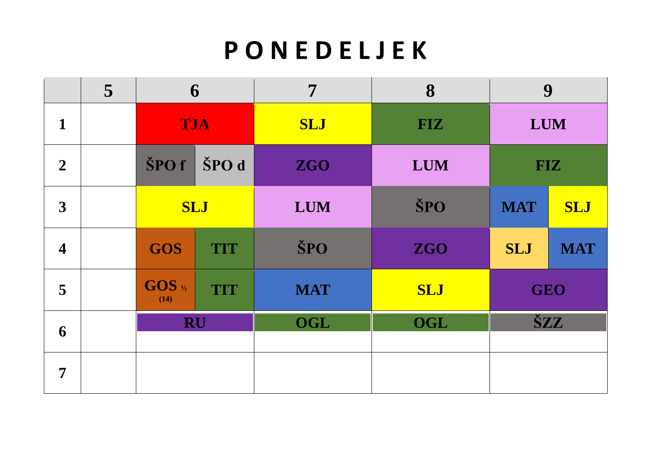### **P O N E D E L J E K**

|                         | 5                        | 6                             |            | 7          | 8          |            | 9          |
|-------------------------|--------------------------|-------------------------------|------------|------------|------------|------------|------------|
| 1                       |                          | <b>TJA</b>                    |            | <b>SLJ</b> | <b>FIZ</b> | <b>LUM</b> |            |
| $\overline{2}$          |                          | ŠPO d<br>ŠPO f                |            | <b>ZGO</b> | <b>LUM</b> | <b>FIZ</b> |            |
| 3                       |                          |                               | <b>SLJ</b> | <b>LUM</b> | ŠPO        | <b>MAT</b> | <b>SLJ</b> |
| $\overline{\mathbf{4}}$ | <b>GOS</b><br><b>TIT</b> |                               | ŠPO        | <b>ZGO</b> | <b>SLJ</b> | <b>MAT</b> |            |
| $\overline{5}$          |                          | GOS 1/2<br><b>TIT</b><br>(14) |            | <b>MAT</b> | <b>SLJ</b> | <b>GEO</b> |            |
| 6                       |                          | <b>RU</b>                     |            | <b>OGL</b> | <b>OGL</b> |            | ŠZZ        |
| $\overline{7}$          |                          |                               |            |            |            |            |            |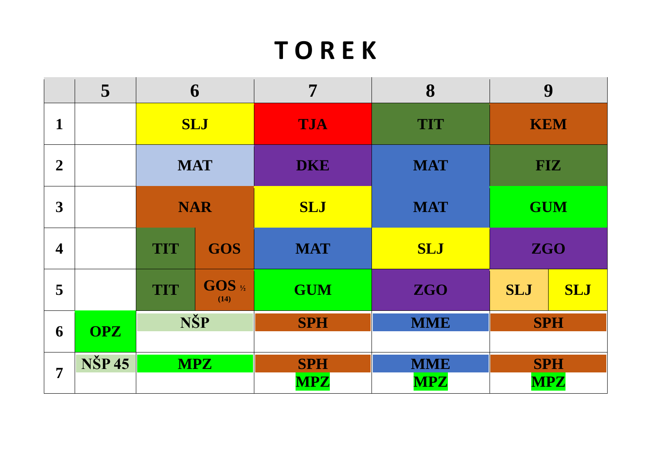## **T O R E K**

|                         | 5             | 6                        |                 | 7          | 8          |            | 9          |
|-------------------------|---------------|--------------------------|-----------------|------------|------------|------------|------------|
| $\mathbf{1}$            |               | <b>SLJ</b>               |                 | <b>TJA</b> | <b>TIT</b> | <b>KEM</b> |            |
| $\boldsymbol{2}$        |               | <b>MAT</b>               |                 | <b>DKE</b> | <b>MAT</b> | <b>FIZ</b> |            |
| 3                       |               | <b>NAR</b>               |                 | <b>SLJ</b> | <b>MAT</b> | <b>GUM</b> |            |
| $\overline{\mathbf{4}}$ |               | <b>GOS</b><br><b>TIT</b> |                 | <b>MAT</b> | <b>SLJ</b> | <b>ZGO</b> |            |
| 5                       |               | <b>TIT</b>               | GOS 1/2<br>(14) | <b>GUM</b> | <b>ZGO</b> | <b>SLJ</b> | <b>SLJ</b> |
| 6                       | <b>OPZ</b>    | NŠP                      |                 | <b>SPH</b> | <b>MME</b> |            | <b>SPH</b> |
|                         |               |                          |                 |            |            |            |            |
| $\overline{7}$          | <b>NŠP 45</b> |                          | <b>MPZ</b>      | <b>SPH</b> | <b>MME</b> |            | <b>SPH</b> |
|                         |               |                          |                 | <b>MPZ</b> | <b>MPZ</b> |            | <b>MPZ</b> |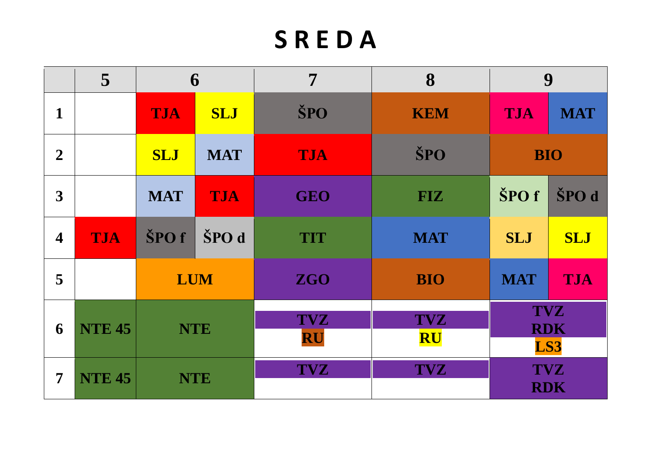# **S R E D A**

|                         | 5             | 6                        |            | 7                | 8                       |                | 9                               |
|-------------------------|---------------|--------------------------|------------|------------------|-------------------------|----------------|---------------------------------|
| $\mathbf{1}$            |               | <b>TJA</b>               | <b>SLJ</b> | ŠPO              | <b>KEM</b>              | <b>TJA</b>     | <b>MAT</b>                      |
| $\overline{2}$          |               | <b>MAT</b><br><b>SLJ</b> |            | <b>TJA</b>       | ŠPO                     |                | <b>BIO</b>                      |
| $\overline{\mathbf{3}}$ |               | <b>MAT</b>               | <b>TJA</b> | <b>GEO</b>       | <b>FIZ</b>              | $\text{SPO} f$ | ŠPO d                           |
| $\overline{\mathbf{4}}$ | <b>TJA</b>    | ŠPO f                    | ŠPO d      | <b>TIT</b>       | <b>MAT</b>              | <b>SLJ</b>     | <b>SLJ</b>                      |
| 5                       |               | <b>LUM</b>               |            | <b>ZGO</b>       | <b>BIO</b>              | <b>MAT</b>     | <b>TJA</b>                      |
| 6                       | <b>NTE 45</b> | <b>NTE</b>               |            | <b>TVZ</b><br>RU | <b>TVZ</b><br><b>RU</b> |                | <b>TVZ</b><br><b>RDK</b><br>LS3 |
| $\overline{7}$          | <b>NTE 45</b> | <b>NTE</b>               |            | <b>TVZ</b>       | <b>TVZ</b>              |                | <b>TVZ</b><br><b>RDK</b>        |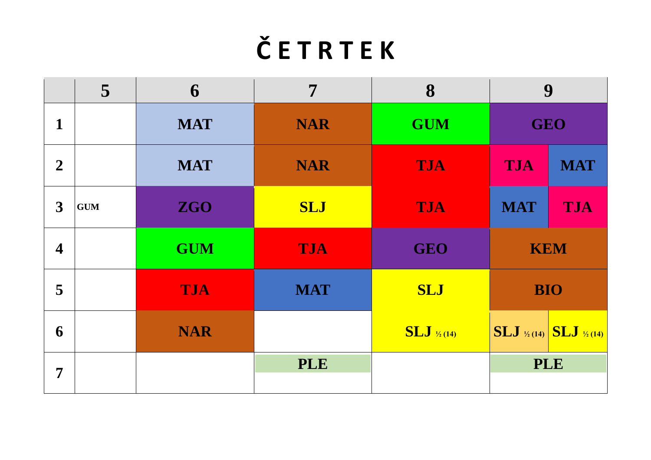# **Č E T R T E K**

|                         | 5 <sup>1</sup> | 6          | 7          | 8                       |                          | 9                                                                                                            |
|-------------------------|----------------|------------|------------|-------------------------|--------------------------|--------------------------------------------------------------------------------------------------------------|
| $\mathbf{1}$            |                | <b>MAT</b> | <b>NAR</b> | <b>GUM</b>              | <b>GEO</b>               |                                                                                                              |
| $\boldsymbol{2}$        |                | <b>MAT</b> | <b>NAR</b> | <b>TJA</b>              | <b>TJA</b>               | <b>MAT</b>                                                                                                   |
| 3                       | <b>GUM</b>     | <b>ZGO</b> | <b>SLJ</b> | <b>TJA</b>              | <b>TJA</b><br><b>MAT</b> |                                                                                                              |
| $\overline{\mathbf{4}}$ |                | <b>GUM</b> | <b>TJA</b> | <b>GEO</b>              | <b>KEM</b>               |                                                                                                              |
| 5                       |                | <b>TJA</b> | <b>MAT</b> | <b>SLJ</b>              |                          | <b>BIO</b>                                                                                                   |
| 6                       |                | <b>NAR</b> |            | $SLJ_{\frac{1}{2}(14)}$ |                          | $\overline{\text{SLJ}}_{\frac{\frac{1}{2}}{14}}\left \overline{\text{SLJ}}_{\frac{\frac{1}{2}}{141}}\right $ |
| $\overline{7}$          |                |            | <b>PLE</b> |                         |                          | <b>PLE</b>                                                                                                   |
|                         |                |            |            |                         |                          |                                                                                                              |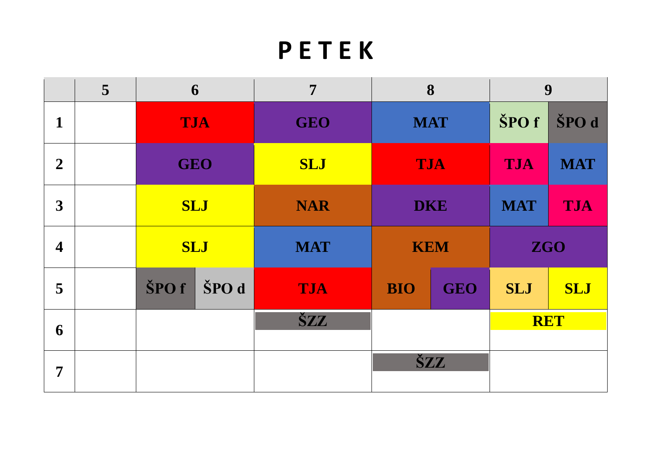### **P E T E K**

|                         | 5 | 6          |       | 7          | 8          |            | 9          |            |
|-------------------------|---|------------|-------|------------|------------|------------|------------|------------|
| $\mathbf{1}$            |   | <b>TJA</b> |       | <b>GEO</b> | <b>MAT</b> |            | ŠPO f      | ŠPO d      |
| $\overline{2}$          |   | <b>GEO</b> |       | <b>SLJ</b> | <b>TJA</b> |            | <b>TJA</b> | <b>MAT</b> |
| 3                       |   | <b>SLJ</b> |       | <b>NAR</b> | <b>DKE</b> |            | <b>MAT</b> | TJA        |
| $\overline{\mathbf{4}}$ |   | <b>SLJ</b> |       | <b>MAT</b> | <b>KEM</b> |            | <b>ZGO</b> |            |
| 5                       |   | ŠPO f      | ŠPO d | <b>TJA</b> | <b>BIO</b> | <b>GEO</b> | <b>SLJ</b> | <b>SLJ</b> |
| 6                       |   |            |       | ŠZZ        |            |            |            | <b>RET</b> |
| $\overline{7}$          |   |            |       |            |            | <b>ŠZZ</b> |            |            |